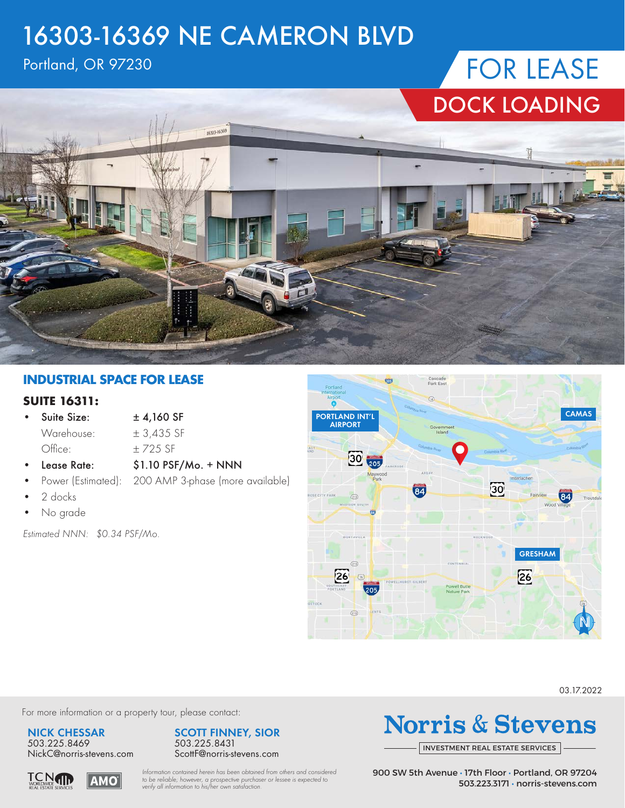### 16303-16369 NE CAMERON BLVD

### Portland, OR 97230

# FOR LEASE DOCK LOADING



#### **INDUSTRIAL SPACE FOR LEASE**

#### **SUITE 16311:**

• Suite Size:  $\pm 4,160$  SF Warehouse:  $\pm 3,435$  SF Office:  $\pm$  725 SF

- Lease Rate: \$1.10 PSF/Mo. + NNN
- Power (Estimated): 200 AMP 3-phase (more available)
- 2 docks
- No grade

*Estimated NNN: \$0.34 PSF/Mo.*



03.17.2022

For more information or a property tour, please contact:

**NICK CHESSAR** 503.225.8469 NickC@norris-stevens.com

**AMO** 

**TCNTH** 



*Information contained herein has been obtained from others and considered to be reliable; however, a prospective purchaser or lessee is expected to verify all information to his/her own satisfaction.*

**Norris & Stevens** 

INVESTMENT [REAL ESTATE SERVICES](https://www.norris-stevens.com/)

900 SW 5th Avenue • 17th Floor • Portland, OR 97204 503.223.3171 • norris-stevens.com